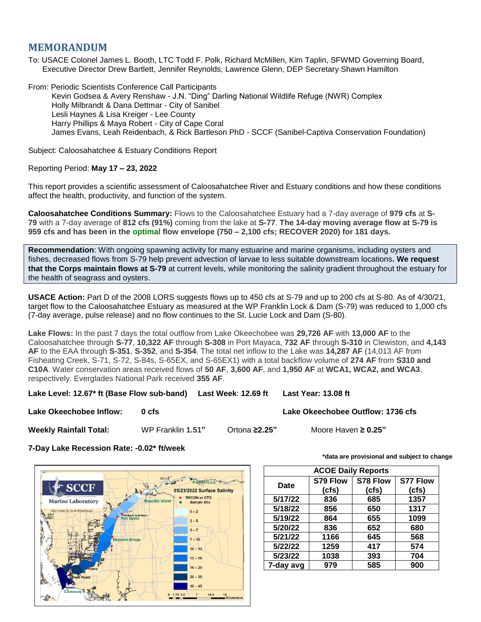## **MEMORANDUM**

To: USACE Colonel James L. Booth, LTC Todd F. Polk, Richard McMillen, Kim Taplin, SFWMD Governing Board, Executive Director Drew Bartlett, Jennifer Reynolds, Lawrence Glenn, DEP Secretary Shawn Hamilton

From: Periodic Scientists Conference Call Participants Kevin Godsea & Avery Renshaw - J.N. "Ding" Darling National Wildlife Refuge (NWR) Complex Holly Milbrandt & Dana Dettmar - City of Sanibel Lesli Haynes & Lisa Kreiger - Lee County Harry Phillips & Maya Robert - City of Cape Coral James Evans, Leah Reidenbach, & Rick Bartleson PhD - SCCF (Sanibel-Captiva Conservation Foundation)

Subject: Caloosahatchee & Estuary Conditions Report

## Reporting Period: **May 17 – 23, 2022**

This report provides a scientific assessment of Caloosahatchee River and Estuary conditions and how these conditions affect the health, productivity, and function of the system.

**Caloosahatchee Conditions Summary:** Flows to the Caloosahatchee Estuary had a 7-day average of **979 cfs** at **S-79** with a 7-day average of **812 cfs (91%)** coming from the lake at **S-77**. **The 14-day moving average flow at S-79 is 959 cfs and has been in the optimal flow envelope (750 – 2,100 cfs; RECOVER 2020) for 181 days.**

**Recommendation**: With ongoing spawning activity for many estuarine and marine organisms, including oysters and fishes, decreased flows from S-79 help prevent advection of larvae to less suitable downstream locations**. We request that the Corps maintain flows at S-79** at current levels, while monitoring the salinity gradient throughout the estuary for the health of seagrass and oysters.

**USACE Action:** Part D of the 2008 LORS suggests flows up to 450 cfs at S-79 and up to 200 cfs at S-80. As of 4/30/21, target flow to the Caloosahatchee Estuary as measured at the WP Franklin Lock & Dam (S-79) was reduced to 1,000 cfs (7-day average, pulse release) and no flow continues to the St. Lucie Lock and Dam (S-80).

**Lake Flows:** In the past 7 days the total outflow from Lake Okeechobee was **29,726 AF** with **13,000 AF** to the Caloosahatchee through **S-77**, **10,322 AF** through **S-308** in Port Mayaca, **732 AF** through **S-310** in Clewiston, and **4,143 AF** to the EAA through **S-351**, **S-352**, and **S-354**. The total net inflow to the Lake was **14,287 AF** (14,013 AF from Fisheating Creek, S-71, S-72, S-84s, S-65EX, and S-65EX1) with a total backflow volume of **274 AF** from **S310 and C10A**. Water conservation areas received flows of **50 AF**, **3,600 AF**, and **1,950 AF** at **WCA1, WCA2, and WCA3**, respectively. Everglades National Park received **355 AF**.

**Lake Level: 12.67\* ft (Base Flow sub-band) Last Week**: **12.69 ft Last Year: 13.08 ft**

**Lake Okeechobee Inflow: 0 cfs Lake Okeechobee Outflow: 1736 cfs**

**Weekly Rainfall Total:** WP Franklin **1.51"** Ortona **≥2.25"** Moore Haven **≥ 0.25"**

**7-Day Lake Recession Rate: -0.02\* ft/week**



**\*data are provisional and subject to change**

| <b>ACOE Daily Reports</b> |          |          |                 |  |  |  |  |  |
|---------------------------|----------|----------|-----------------|--|--|--|--|--|
|                           | S79 Flow | S78 Flow | <b>S77 Flow</b> |  |  |  |  |  |
| Date                      | (cfs)    | (cfs)    | (cfs)           |  |  |  |  |  |
| 5/17/22                   | 836      | 685      | 1357            |  |  |  |  |  |
| 5/18/22                   | 856      | 650      | 1317            |  |  |  |  |  |
| 5/19/22                   | 864      | 655      | 1099            |  |  |  |  |  |
| 5/20/22                   | 836      | 652      | 680<br>568      |  |  |  |  |  |
| 5/21/22                   | 1166     | 645      |                 |  |  |  |  |  |
| 5/22/22                   | 1259     | 417      | 574             |  |  |  |  |  |
| 5/23/22                   | 1038     | 393      | 704             |  |  |  |  |  |
| 7-day avg                 | 979      | 585      | 900             |  |  |  |  |  |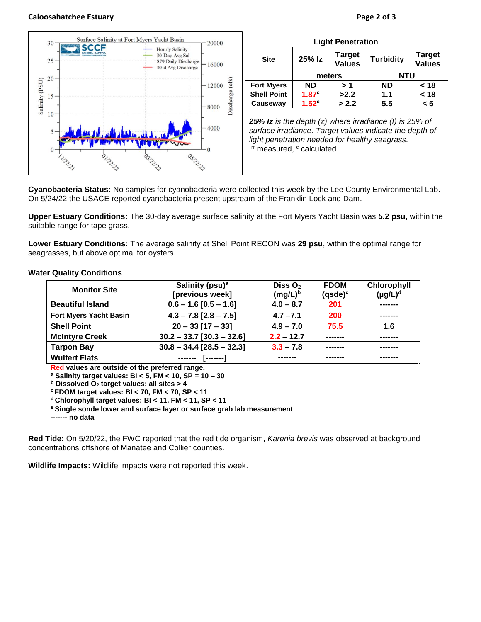## **Caloosahatchee Estuary Page 2 of 3**

10

5



olmpp

| <b>Light Penetration</b> |                   |                                |                  |                                |
|--------------------------|-------------------|--------------------------------|------------------|--------------------------------|
| <b>Site</b>              | 25% Iz            | <b>Target</b><br><b>Values</b> | <b>Turbidity</b> | <b>Target</b><br><b>Values</b> |
|                          | meters            |                                | <b>NTU</b>       |                                |
| <b>Fort Myers</b>        | <b>ND</b>         | > 1                            | <b>ND</b>        | < 18                           |
| <b>Shell Point</b>       | 1.87 <sup>c</sup> | >2.2                           | 1.1              | < 18                           |
| Causeway                 | $1.52^\circ$      | > 2.2                          | 5.5              | < 5                            |

*25% Iz is the depth (z) where irradiance (I) is 25% of surface irradiance. Target values indicate the depth of light penetration needed for healthy seagrass.* m measured, c calculated

**Cyanobacteria Status:** No samples for cyanobacteria were collected this week by the Lee County Environmental Lab. On 5/24/22 the USACE reported cyanobacteria present upstream of the Franklin Lock and Dam.

Discharge (cfs)

8000

4000

OS TON

**Upper Estuary Conditions:** The 30-day average surface salinity at the Fort Myers Yacht Basin was **5.2 psu**, within the suitable range for tape grass.

**Lower Estuary Conditions:** The average salinity at Shell Point RECON was **29 psu**, within the optimal range for seagrasses, but above optimal for oysters.

| <b>Monitor Site</b>           | Salinity (psu) <sup>a</sup> | Diss $O2$    | <b>FDOM</b> | <b>Chlorophyll</b> |
|-------------------------------|-----------------------------|--------------|-------------|--------------------|
|                               | [previous week]             | $(mg/L)^b$   | $(gsde)^c$  | $(\mu g/L)^d$      |
| <b>Beautiful Island</b>       | $0.6 - 1.6$ [0.5 - 1.6]     | $4.0 - 8.7$  | 201         | -------            |
| <b>Fort Myers Yacht Basin</b> | $4.3 - 7.8$ [2.8 - 7.5]     |              | <b>200</b>  | -------            |
| <b>Shell Point</b>            | $20 - 33$ [17 - 33]         | $4.9 - 7.0$  | 75.5        | 1.6                |
| <b>McIntyre Creek</b>         | $30.2 - 33.7$ [30.3 - 32.6] | $2.2 - 12.7$ |             | -------            |
| <b>Tarpon Bay</b>             | $30.8 - 34.4$ [28.5 - 32.3] | $3.3 - 7.8$  |             |                    |
| <b>Wulfert Flats</b>          | -------                     |              |             |                    |

## **Water Quality Conditions**

**Red values are outside of the preferred range.**

**<sup>a</sup> Salinity target values: BI < 5, FM < 10, SP = 10 – 30**

**<sup>b</sup> Dissolved O<sup>2</sup> target values: all sites > 4**

**<sup>c</sup> FDOM target values: BI < 70, FM < 70, SP < 11**

**<sup>d</sup> Chlorophyll target values: BI < 11, FM < 11, SP < 11** 

**<sup>s</sup> Single sonde lower and surface layer or surface grab lab measurement**

**------- no data**

**Red Tide:** On 5/20/22, the FWC reported that the red tide organism, *Karenia brevis* was observed at background concentrations offshore of Manatee and Collier counties.

**Wildlife Impacts:** Wildlife impacts were not reported this week.